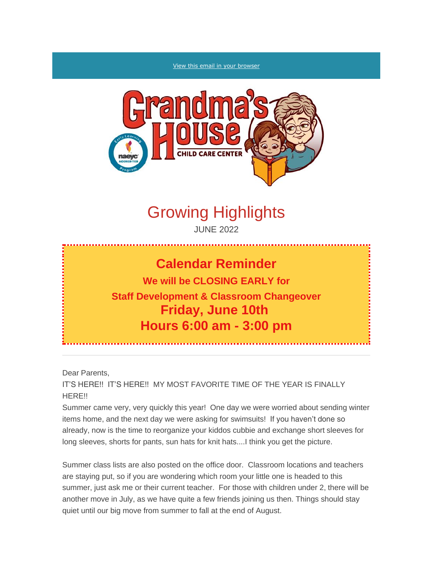#### [View this email in your browser](https://mailchi.mp/d7da36beb157/grandmas-house-parent-newsletter?e=%5bUNIQID%5d)



# Growing Highlights

JUNE 2022

### **Calendar Reminder**

**We will be CLOSING EARLY for Staff Development & Classroom Changeover Friday, June 10th Hours 6:00 am - 3:00 pm**

Dear Parents,

IT'S HERE!! IT'S HERE!! MY MOST FAVORITE TIME OF THE YEAR IS FINALLY HERE!!

Summer came very, very quickly this year! One day we were worried about sending winter items home, and the next day we were asking for swimsuits! If you haven't done so already, now is the time to reorganize your kiddos cubbie and exchange short sleeves for long sleeves, shorts for pants, sun hats for knit hats....I think you get the picture.

Summer class lists are also posted on the office door. Classroom locations and teachers are staying put, so if you are wondering which room your little one is headed to this summer, just ask me or their current teacher. For those with children under 2, there will be another move in July, as we have quite a few friends joining us then. Things should stay quiet until our big move from summer to fall at the end of August.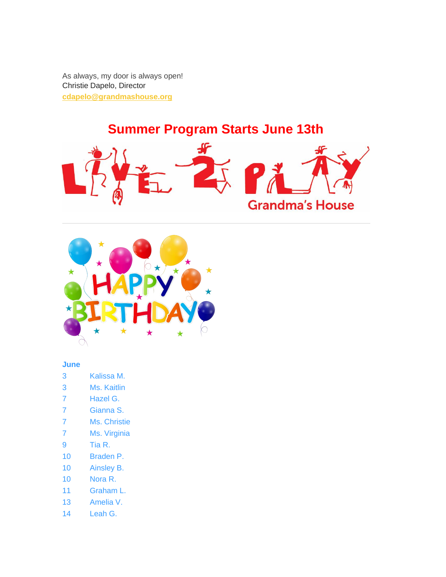As always, my door is always open! *Christie Dapelo, Director* **[cdapelo@grandmashouse.org](mailto:cdapelo@grandmashouse.org)**

## *Summer Program Starts June 13th*





### **June**

- 3 Kalissa M.
- 3 Ms. Kaitlin
- 7 Hazel G.
- 7 Gianna S.
- 7 Ms. Christie
- 7 Ms. Virginia
- 9 Tia R.
- 10 Braden P.
- 10 Ainsley B.
- 10 Nora R.
- 11 Graham L.
- 13 Amelia V.
- 14 Leah G.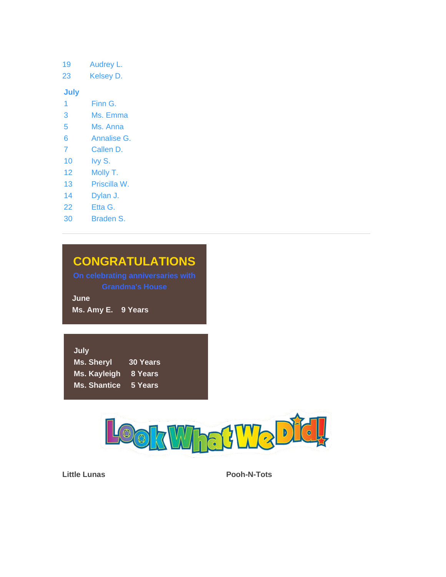19 Audrey L.

23 Kelsey D.

**July**

- 1 Finn G.
- 3 Ms. Emma
- 5 Ms. Anna
- 6 Annalise G.
- 7 Callen D.
- 10 Ivy S.
- 12 Molly T.
- 13 Priscilla W.
- 14 Dylan J.
- 22 Etta G.
- 30 Braden S.

### *CONGRATULATIONS*

**June**

*Ms. Amy E. 9 Years*

| July                |                 |
|---------------------|-----------------|
| <b>Ms. Sheryl</b>   | <b>30 Years</b> |
| Ms. Kayleigh        | 8 Years         |
| <b>Ms. Shantice</b> | 5 Years         |



*Little Lunas Pooh-N-Tots*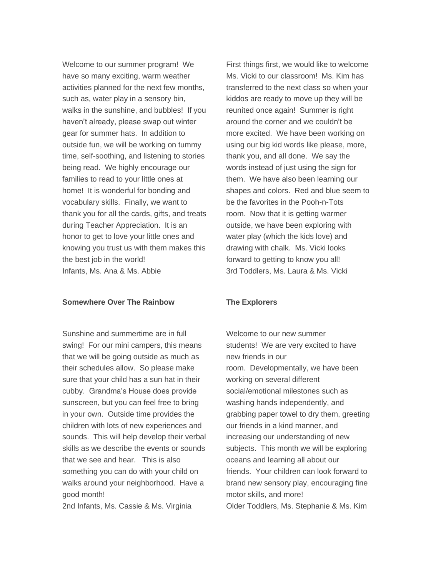Welcome to our summer program! We have so many exciting, warm weather activities planned for the next few months, such as, water play in a sensory bin, walks in the sunshine, and bubbles! If you haven't already, please swap out winter gear for summer hats. In addition to outside fun, we will be working on tummy time, self-soothing, and listening to stories being read. We highly encourage our families to read to your little ones at home! It is wonderful for bonding and vocabulary skills. Finally, we want to thank you for all the cards, gifts, and treats during Teacher Appreciation. It is an honor to get to love your little ones and knowing you trust us with them makes this the best job in the world! *Infants, Ms. Ana & Ms. Abbie*

#### *Somewhere Over The Rainbow*

Sunshine and summertime are in full swing! For our mini campers, this means that we will be going outside as much as their schedules allow. So please make sure that your child has a sun hat in their cubby. Grandma's House does provide sunscreen, but you can feel free to bring in your own. Outside time provides the children with lots of new experiences and sounds. This will help develop their verbal skills as we describe the events or sounds that we see and hear. This is also something you can do with your child on walks around your neighborhood. Have a good month!

*2nd Infants, Ms. Cassie & Ms. Virginia*

First things first, we would like to welcome Ms. Vicki to our classroom! Ms. Kim has transferred to the next class so when your kiddos are ready to move up they will be reunited once again! Summer is right around the corner and we couldn't be more excited. We have been working on using our big kid words like please, more, thank you, and all done. We say the words instead of just using the sign for them. We have also been learning our shapes and colors. Red and blue seem to be the favorites in the Pooh-n-Tots room. Now that it is getting warmer outside, we have been exploring with water play (which the kids love) and drawing with chalk. Ms. Vicki looks forward to getting to know you all! *3rd Toddlers, Ms. Laura & Ms. Vicki*

#### *The Explorers*

Welcome to our new summer students! We are very excited to have new friends in our room. Developmentally, we have been working on several different social/emotional milestones such as washing hands independently, and grabbing paper towel to dry them, greeting our friends in a kind manner, and increasing our understanding of new subjects. This month we will be exploring oceans and learning all about our friends. Your children can look forward to brand new sensory play, encouraging fine motor skills, and more! *Older Toddlers, Ms. Stephanie & Ms. Kim*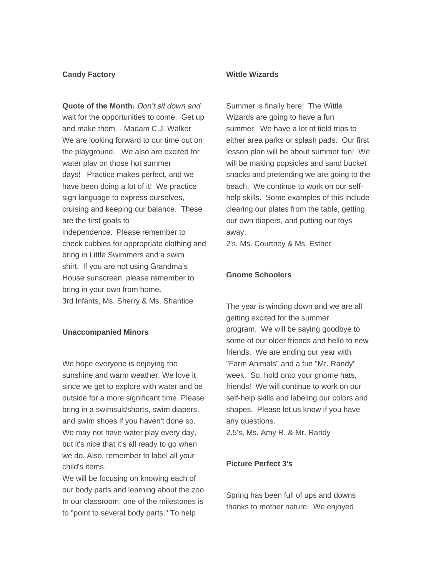#### *Candy Factory*

*Quote of the Month: Don't sit down and wait for the opportunities to come. Get up and make them. - Madam C.J. Walker* We are looking forward to our time out on the playground. We also are excited for water play on those hot summer days! Practice makes perfect, and we have been doing a lot of it! We practice sign language to express ourselves, cruising and keeping our balance. These are the first goals to independence. Please remember to check cubbies for appropriate clothing and bring in Little Swimmers and a swim shirt. If you are not using Grandma's House sunscreen, please remember to bring in your own from home. *3rd Infants, Ms. Sherry & Ms. Shantice*

#### *Unaccompanied Minors*

We hope everyone is enjoying the sunshine and warm weather. We love it since we get to explore with water and be outside for a more significant time. Please bring in a swimsuit/shorts, swim diapers, and swim shoes if you haven't done so. We may not have water play every day, but it's nice that it's all ready to go when we do. Also, remember to label all your child's items.

We will be focusing on knowing each of our body parts and learning about the zoo. In our classroom, one of the milestones is to "point to several body parts." To help

### *Wittle Wizards*

Summer is finally here! The Wittle Wizards are going to have a fun summer. We have a lot of field trips to either area parks or splash pads. Our first lesson plan will be about summer fun! We will be making popsicles and sand bucket snacks and pretending we are going to the beach. We continue to work on our selfhelp skills. Some examples of this include clearing our plates from the table, getting our own diapers, and putting our toys away.

*2's, Ms. Courtney & Ms. Esther*

#### *Gnome Schoolers*

The year is winding down and we are all getting excited for the summer program. We will be saying goodbye to some of our older friends and hello to new friends. We are ending our year with "Farm Animals" and a fun "Mr. Randy" week. So, hold onto your gnome hats, friends! We will continue to work on our self-help skills and labeling our colors and shapes. Please let us know if you have any questions.

*2.5's, Ms. Amy R. & Mr. Randy*

#### *Picture Perfect 3's*

Spring has been full of ups and downs thanks to mother nature. We enjoyed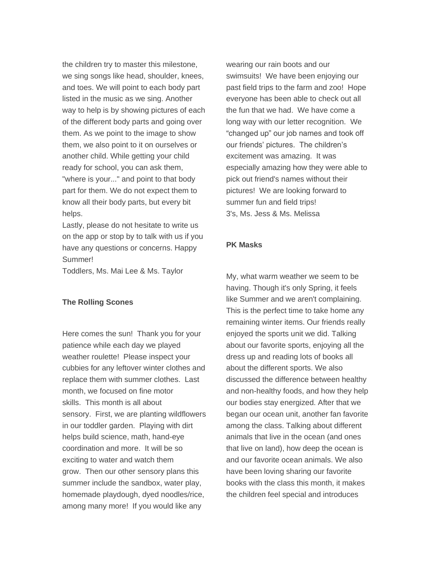the children try to master this milestone, we sing songs like head, shoulder, knees, and toes. We will point to each body part listed in the music as we sing. Another way to help is by showing pictures of each of the different body parts and going over them. As we point to the image to show them, we also point to it on ourselves or another child. While getting your child ready for school, you can ask them, "where is your..." and point to that body part for them. We do not expect them to know all their body parts, but every bit helps.

Lastly, please do not hesitate to write us on the app or stop by to talk with us if you have any questions or concerns. Happy Summer!

*Toddlers, Ms. Mai Lee & Ms. Taylor*

#### *The Rolling Scones*

Here comes the sun! Thank you for your patience while each day we played weather roulette! Please inspect your cubbies for any leftover winter clothes and replace them with summer clothes. Last month, we focused on fine motor skills. This month is all about sensory. First, we are planting wildflowers in our toddler garden. Playing with dirt helps build science, math, hand-eye coordination and more. It will be so exciting to water and watch them grow. Then our other sensory plans this summer include the sandbox, water play, homemade playdough, dyed noodles/rice, among many more! If you would like any

wearing our rain boots and our swimsuits! We have been enjoying our past field trips to the farm and zoo! Hope everyone has been able to check out all the fun that we had. We have come a long way with our letter recognition. We "changed up" our job names and took off our friends' pictures. The children's excitement was amazing. It was especially amazing how they were able to pick out friend's names without their pictures! We are looking forward to summer fun and field trips! *3's, Ms. Jess & Ms. Melissa*

#### *PK Masks*

My, what warm weather we seem to be having. Though it's only Spring, it feels like Summer and we aren't complaining. This is the perfect time to take home any remaining winter items. Our friends really enjoyed the sports unit we did. Talking about our favorite sports, enjoying all the dress up and reading lots of books all about the different sports. We also discussed the difference between healthy and non-healthy foods, and how they help our bodies stay energized. After that we began our ocean unit, another fan favorite among the class. Talking about different animals that live in the ocean (and ones that live on land), how deep the ocean is and our favorite ocean animals. We also have been loving sharing our favorite books with the class this month, it makes the children feel special and introduces